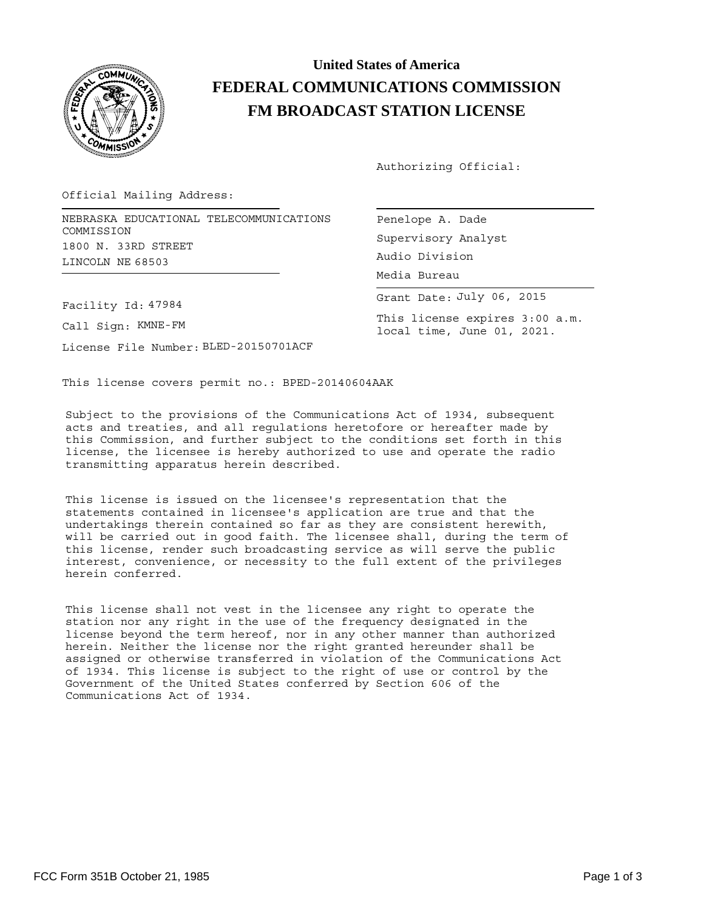

## **United States of America FEDERAL COMMUNICATIONS COMMISSION FM BROADCAST STATION LICENSE**

Authorizing Official:

Official Mailing Address:

NEBRASKA EDUCATIONAL TELECOMMUNICATIONS Penelope A. Dade COMMISSION 1800 N. 33RD STREET LINCOLN NE 68503

Facility Id: 47984

Call Sign: KMNE-FM

License File Number: BLED-20150701ACF

Supervisory Analyst Grant Date: July 06, 2015 Media Bureau Audio Division

This license expires 3:00 a.m. local time, June 01, 2021.

This license covers permit no.: BPED-20140604AAK

Subject to the provisions of the Communications Act of 1934, subsequent acts and treaties, and all regulations heretofore or hereafter made by this Commission, and further subject to the conditions set forth in this license, the licensee is hereby authorized to use and operate the radio transmitting apparatus herein described.

This license is issued on the licensee's representation that the statements contained in licensee's application are true and that the undertakings therein contained so far as they are consistent herewith, will be carried out in good faith. The licensee shall, during the term of this license, render such broadcasting service as will serve the public interest, convenience, or necessity to the full extent of the privileges herein conferred.

This license shall not vest in the licensee any right to operate the station nor any right in the use of the frequency designated in the license beyond the term hereof, nor in any other manner than authorized herein. Neither the license nor the right granted hereunder shall be assigned or otherwise transferred in violation of the Communications Act of 1934. This license is subject to the right of use or control by the Government of the United States conferred by Section 606 of the Communications Act of 1934.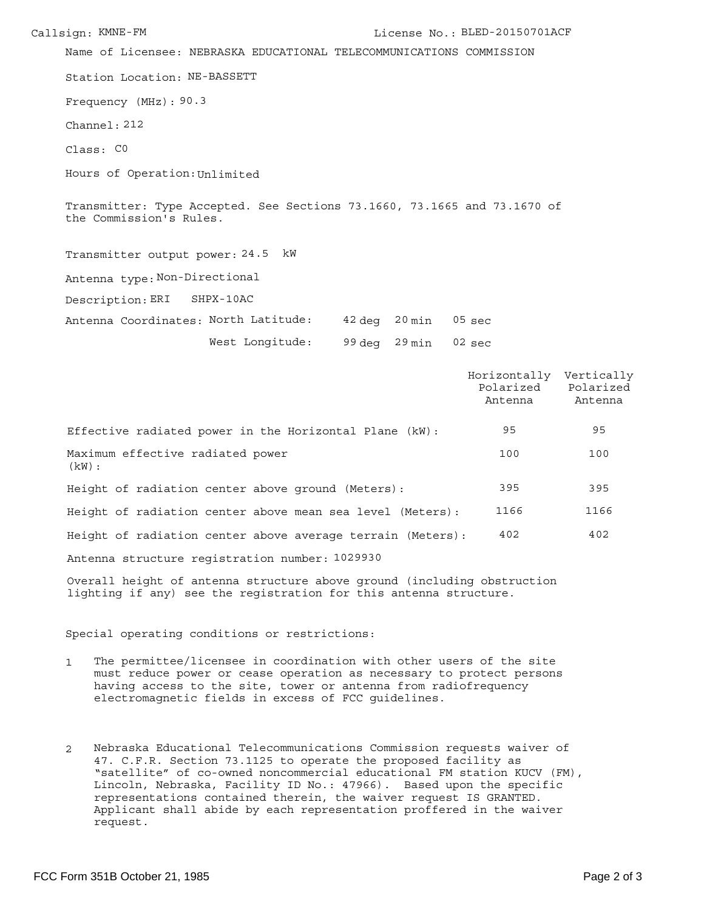Station Location: NE-BASSETT Frequency (MHz): 90.3 Channel: 212 Name of Licensee: NEBRASKA EDUCATIONAL TELECOMMUNICATIONS COMMISSION Class: C0 Hours of Operation: Unlimited Transmitter: Type Accepted. See Sections 73.1660, 73.1665 and 73.1670 of the Commission's Rules. Antenna type: Non-Directional Transmitter output power: 24.5 kW 42 deg 20 min Antenna Coordinates: North Latitude: 05 sec Description: ERI SHPX-10AC

> West Longitude: 99 deg 29 min 02 sec

|                                                            | Horizontally<br>Polarized<br>Antenna | Vertically<br>Polarized<br>Antenna |
|------------------------------------------------------------|--------------------------------------|------------------------------------|
| Effective radiated power in the Horizontal Plane (kW):     | 95                                   | 95                                 |
| Maximum effective radiated power<br>(kW) :                 | 100                                  | 100                                |
| Height of radiation center above ground (Meters):          | 395                                  | 395                                |
| Height of radiation center above mean sea level (Meters):  | 1166                                 | 1166                               |
| Height of radiation center above average terrain (Meters): | 402                                  | 402                                |
| Antenna structure registration number: 1029930             |                                      |                                    |

Overall height of antenna structure above ground (including obstruction lighting if any) see the registration for this antenna structure.

Special operating conditions or restrictions:

- 1 The permittee/licensee in coordination with other users of the site must reduce power or cease operation as necessary to protect persons having access to the site, tower or antenna from radiofrequency electromagnetic fields in excess of FCC guidelines.
- 2 Nebraska Educational Telecommunications Commission requests waiver of 47. C.F.R. Section 73.1125 to operate the proposed facility as "satellite" of co-owned noncommercial educational FM station KUCV (FM), Lincoln, Nebraska, Facility ID No.: 47966). Based upon the specific representations contained therein, the waiver request IS GRANTED. Applicant shall abide by each representation proffered in the waiver request.